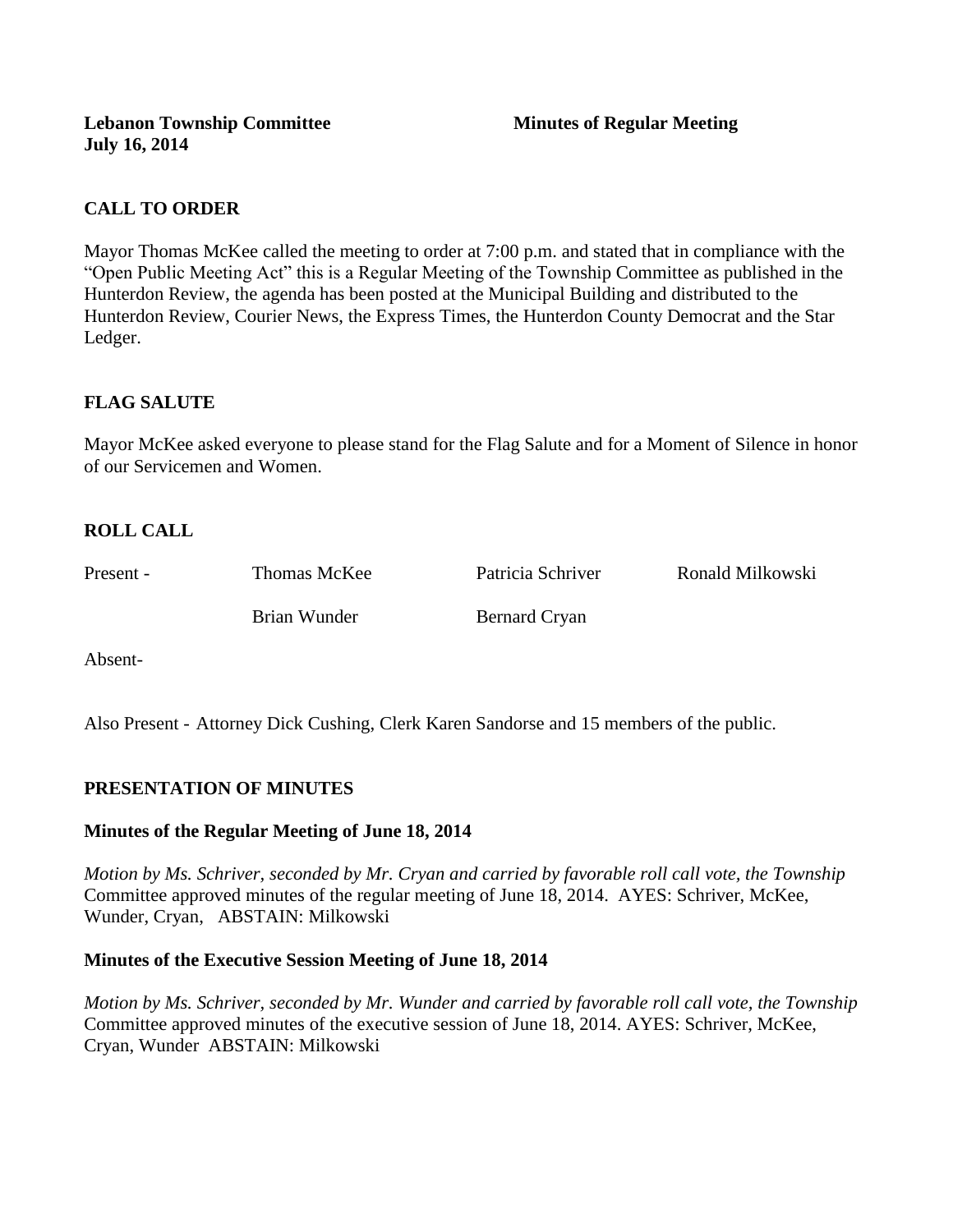**Lebanon Township Committee 3 2008 Minutes of Regular Meeting July 16, 2014**

# **CALL TO ORDER**

Mayor Thomas McKee called the meeting to order at 7:00 p.m. and stated that in compliance with the "Open Public Meeting Act" this is a Regular Meeting of the Township Committee as published in the Hunterdon Review, the agenda has been posted at the Municipal Building and distributed to the Hunterdon Review, Courier News, the Express Times, the Hunterdon County Democrat and the Star Ledger.

# **FLAG SALUTE**

Mayor McKee asked everyone to please stand for the Flag Salute and for a Moment of Silence in honor of our Servicemen and Women.

# **ROLL CALL**

Present - Thomas McKee Patricia Schriver Ronald Milkowski Brian Wunder Bernard Cryan

Absent-

Also Present - Attorney Dick Cushing, Clerk Karen Sandorse and 15 members of the public.

#### **PRESENTATION OF MINUTES**

#### **Minutes of the Regular Meeting of June 18, 2014**

*Motion by Ms. Schriver, seconded by Mr. Cryan and carried by favorable roll call vote, the Township* Committee approved minutes of the regular meeting of June 18, 2014. AYES: Schriver, McKee, Wunder, Cryan, ABSTAIN: Milkowski

#### **Minutes of the Executive Session Meeting of June 18, 2014**

*Motion by Ms. Schriver, seconded by Mr. Wunder and carried by favorable roll call vote, the Township* Committee approved minutes of the executive session of June 18, 2014. AYES: Schriver, McKee, Cryan, Wunder ABSTAIN: Milkowski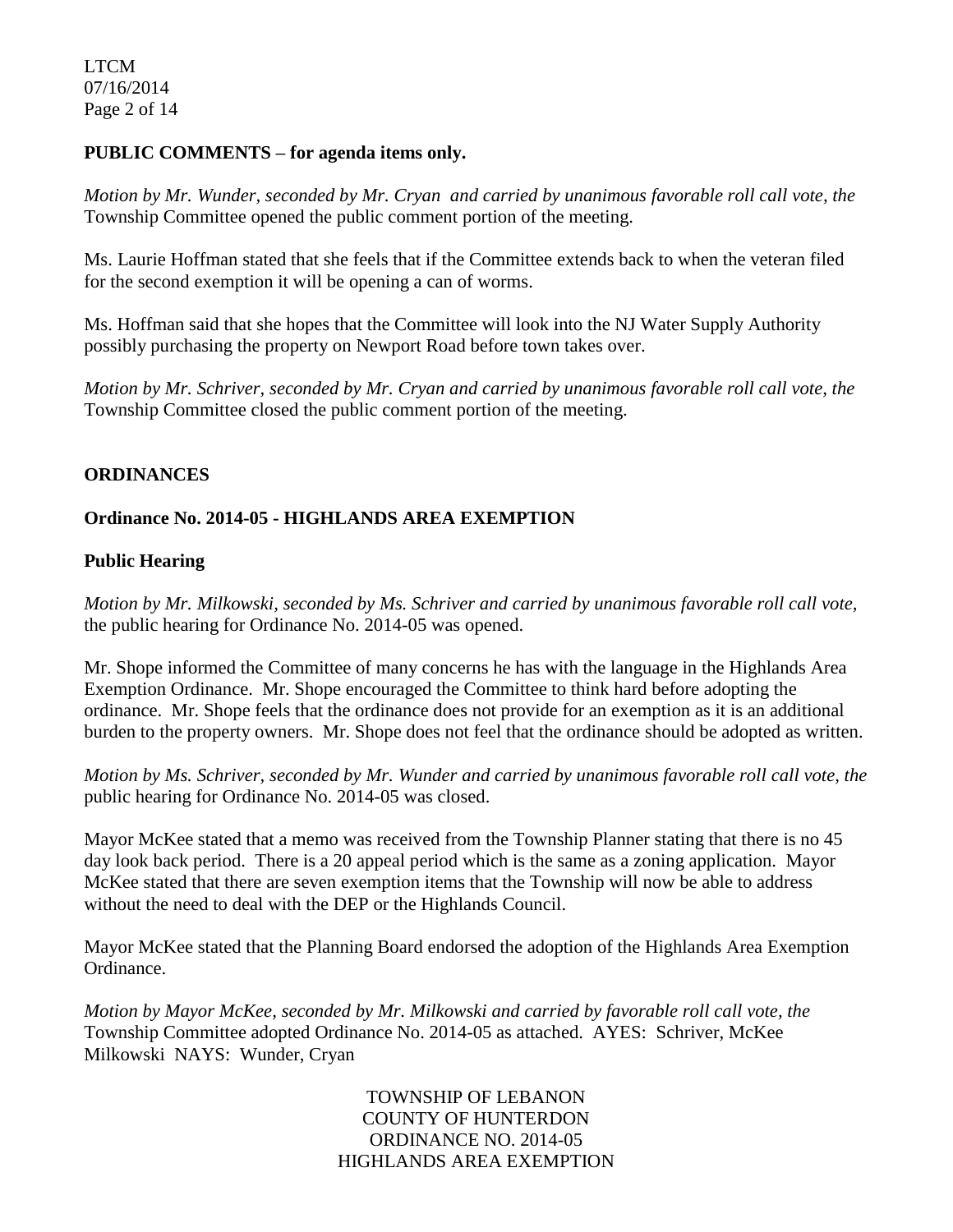LTCM 07/16/2014 Page 2 of 14

#### **PUBLIC COMMENTS – for agenda items only.**

*Motion by Mr. Wunder, seconded by Mr. Cryan and carried by unanimous favorable roll call vote, the* Township Committee opened the public comment portion of the meeting.

Ms. Laurie Hoffman stated that she feels that if the Committee extends back to when the veteran filed for the second exemption it will be opening a can of worms.

Ms. Hoffman said that she hopes that the Committee will look into the NJ Water Supply Authority possibly purchasing the property on Newport Road before town takes over.

*Motion by Mr. Schriver, seconded by Mr. Cryan and carried by unanimous favorable roll call vote, the* Township Committee closed the public comment portion of the meeting.

# **ORDINANCES**

# **Ordinance No. 2014-05 - HIGHLANDS AREA EXEMPTION**

#### **Public Hearing**

*Motion by Mr. Milkowski, seconded by Ms. Schriver and carried by unanimous favorable roll call vote,* the public hearing for Ordinance No. 2014-05 was opened.

Mr. Shope informed the Committee of many concerns he has with the language in the Highlands Area Exemption Ordinance. Mr. Shope encouraged the Committee to think hard before adopting the ordinance. Mr. Shope feels that the ordinance does not provide for an exemption as it is an additional burden to the property owners. Mr. Shope does not feel that the ordinance should be adopted as written.

*Motion by Ms. Schriver, seconded by Mr. Wunder and carried by unanimous favorable roll call vote, the* public hearing for Ordinance No. 2014-05 was closed.

Mayor McKee stated that a memo was received from the Township Planner stating that there is no 45 day look back period. There is a 20 appeal period which is the same as a zoning application. Mayor McKee stated that there are seven exemption items that the Township will now be able to address without the need to deal with the DEP or the Highlands Council.

Mayor McKee stated that the Planning Board endorsed the adoption of the Highlands Area Exemption Ordinance.

*Motion by Mayor McKee, seconded by Mr. Milkowski and carried by favorable roll call vote, the* Township Committee adopted Ordinance No. 2014-05 as attached. AYES: Schriver, McKee Milkowski NAYS: Wunder, Cryan

> TOWNSHIP OF LEBANON COUNTY OF HUNTERDON ORDINANCE NO. 2014-05 HIGHLANDS AREA EXEMPTION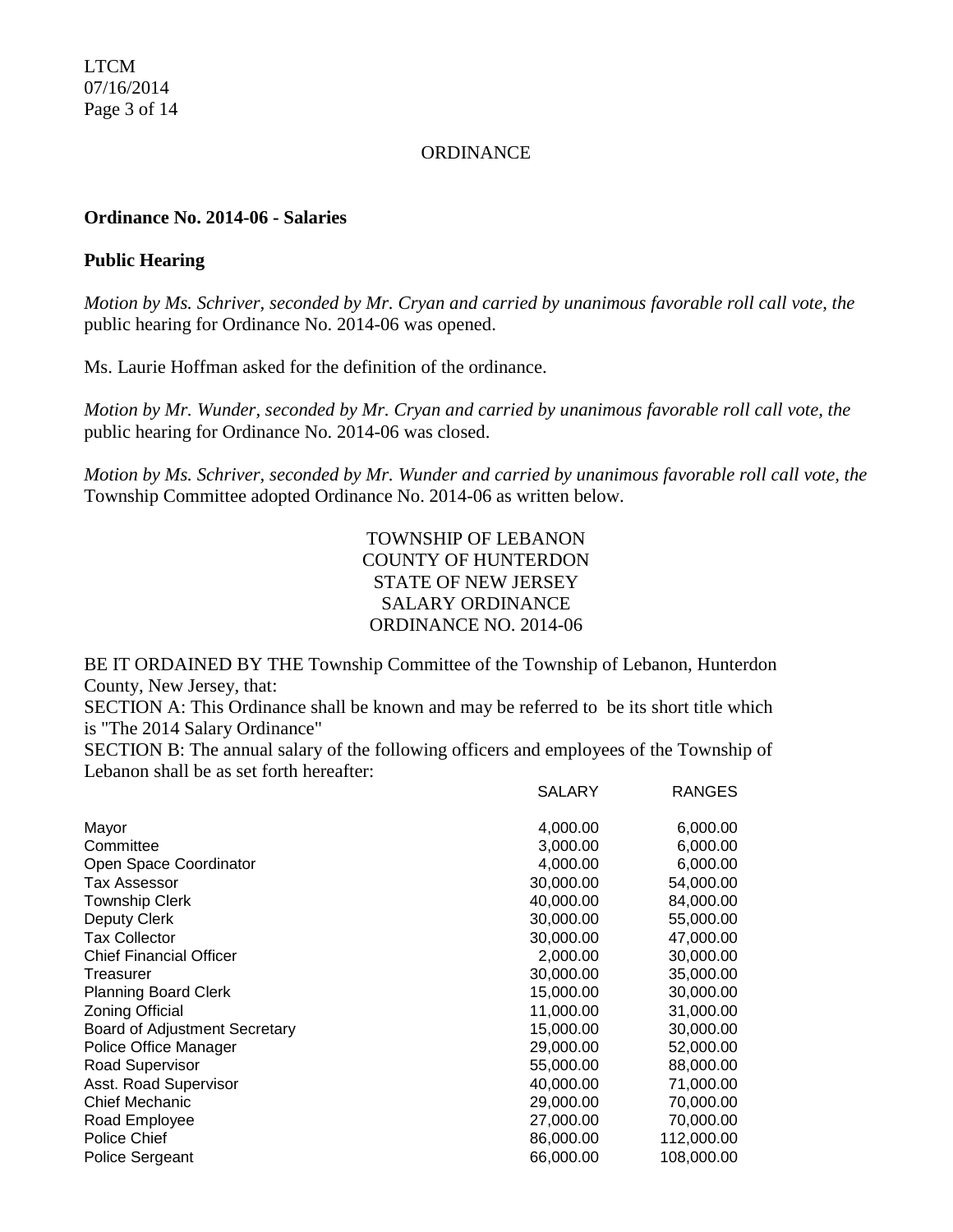LTCM 07/16/2014 Page 3 of 14

#### **ORDINANCE**

#### **Ordinance No. 2014-06 - Salaries**

#### **Public Hearing**

*Motion by Ms. Schriver, seconded by Mr. Cryan and carried by unanimous favorable roll call vote, the* public hearing for Ordinance No. 2014-06 was opened.

Ms. Laurie Hoffman asked for the definition of the ordinance.

*Motion by Mr. Wunder, seconded by Mr. Cryan and carried by unanimous favorable roll call vote, the* public hearing for Ordinance No. 2014-06 was closed.

*Motion by Ms. Schriver, seconded by Mr. Wunder and carried by unanimous favorable roll call vote, the* Township Committee adopted Ordinance No. 2014-06 as written below.

> TOWNSHIP OF LEBANON COUNTY OF HUNTERDON STATE OF NEW JERSEY SALARY ORDINANCE ORDINANCE NO. 2014-06

BE IT ORDAINED BY THE Township Committee of the Township of Lebanon, Hunterdon County, New Jersey, that:

SECTION A: This Ordinance shall be known and may be referred to be its short title which is "The 2014 Salary Ordinance"

SECTION B: The annual salary of the following officers and employees of the Township of Lebanon shall be as set forth hereafter:

|                                | SALARY    | <b>RANGES</b> |
|--------------------------------|-----------|---------------|
| Mayor                          | 4,000.00  | 6,000.00      |
| Committee                      | 3,000.00  | 6,000.00      |
| Open Space Coordinator         | 4,000.00  | 6,000.00      |
| Tax Assessor                   | 30,000.00 | 54,000.00     |
| <b>Township Clerk</b>          | 40,000.00 | 84,000.00     |
| Deputy Clerk                   | 30,000.00 | 55,000.00     |
| <b>Tax Collector</b>           | 30,000,00 | 47,000.00     |
| <b>Chief Financial Officer</b> | 2,000.00  | 30,000.00     |
| Treasurer                      | 30,000.00 | 35,000.00     |
| <b>Planning Board Clerk</b>    | 15,000.00 | 30,000.00     |
| <b>Zoning Official</b>         | 11,000.00 | 31,000.00     |
| Board of Adjustment Secretary  | 15,000.00 | 30,000.00     |
| Police Office Manager          | 29,000.00 | 52,000.00     |
| <b>Road Supervisor</b>         | 55,000.00 | 88,000.00     |
| Asst. Road Supervisor          | 40,000.00 | 71,000.00     |
| Chief Mechanic                 | 29,000.00 | 70,000.00     |
| Road Employee                  | 27,000.00 | 70,000.00     |
| Police Chief                   | 86,000.00 | 112,000.00    |
| Police Sergeant                | 66,000.00 | 108,000.00    |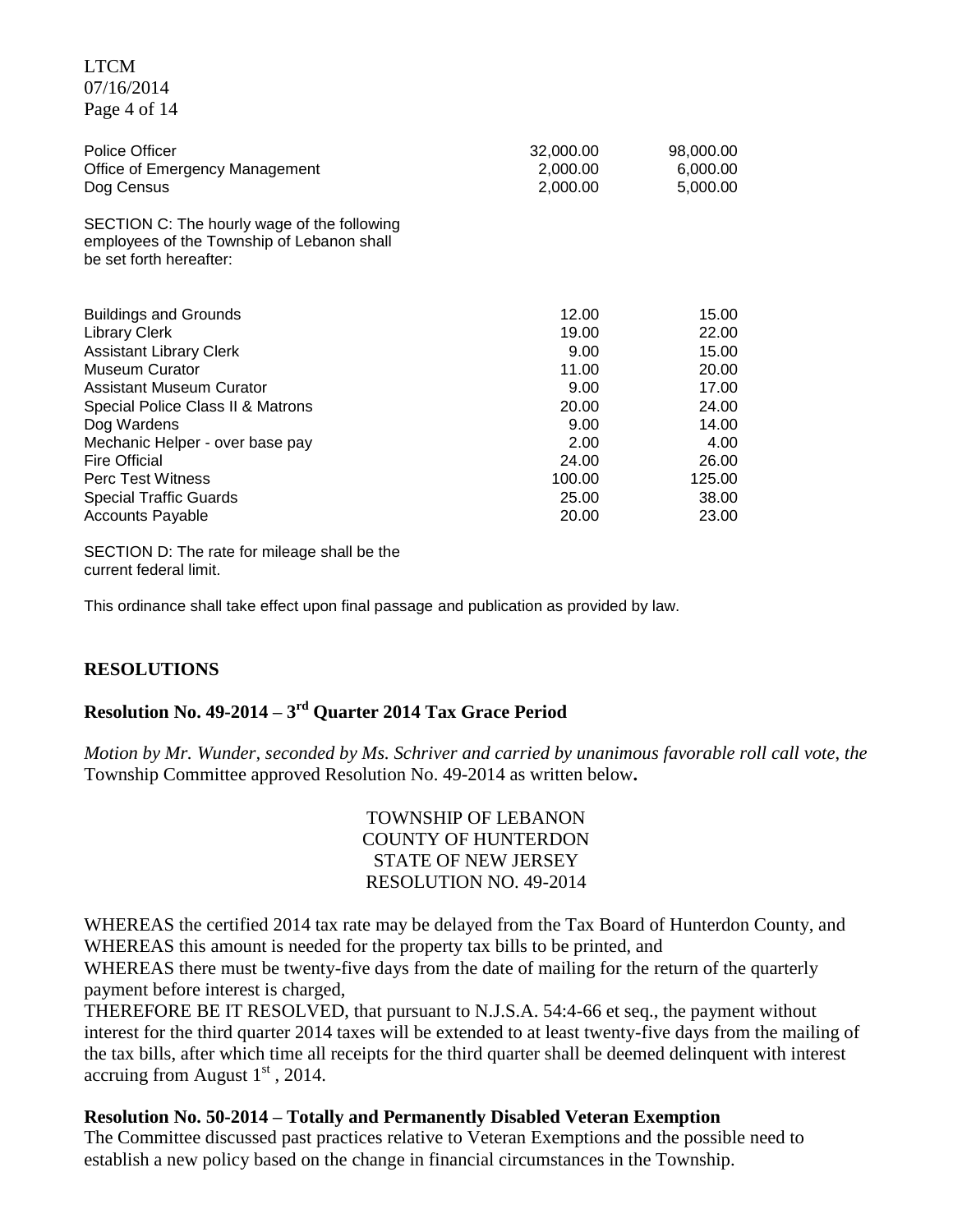| Page 4 of 14                                                                                                         |                                   |                                   |
|----------------------------------------------------------------------------------------------------------------------|-----------------------------------|-----------------------------------|
| <b>Police Officer</b><br>Office of Emergency Management<br>Dog Census                                                | 32,000.00<br>2,000.00<br>2,000.00 | 98,000.00<br>6,000.00<br>5,000.00 |
| SECTION C: The hourly wage of the following<br>employees of the Township of Lebanon shall<br>be set forth hereafter: |                                   |                                   |
| <b>Buildings and Grounds</b>                                                                                         | 12.00                             | 15.00                             |
| <b>Library Clerk</b>                                                                                                 | 19.00                             | 22.00                             |
| <b>Assistant Library Clerk</b>                                                                                       | 9.00                              | 15.00                             |
| <b>Museum Curator</b>                                                                                                | 11.00                             | 20.00                             |
| <b>Assistant Museum Curator</b>                                                                                      | 9.00                              | 17.00                             |
| Special Police Class II & Matrons                                                                                    | 20.00                             | 24.00                             |
| Dog Wardens                                                                                                          | 9.00                              | 14.00                             |
| Mechanic Helper - over base pay                                                                                      | 2.00                              | 4.00                              |
| <b>Fire Official</b>                                                                                                 | 24.00                             | 26.00                             |
| <b>Perc Test Witness</b>                                                                                             | 100.00                            | 125.00                            |
| <b>Special Traffic Guards</b>                                                                                        | 25.00                             | 38.00                             |
| <b>Accounts Payable</b>                                                                                              | 20.00                             | 23.00                             |

SECTION D: The rate for mileage shall be the current federal limit.

This ordinance shall take effect upon final passage and publication as provided by law.

#### **RESOLUTIONS**

LTCM 07/16/2014

# **Resolution No. 49-2014 – 3 rd Quarter 2014 Tax Grace Period**

*Motion by Mr. Wunder, seconded by Ms. Schriver and carried by unanimous favorable roll call vote*, *the* Township Committee approved Resolution No. 49-2014 as written below**.**

# TOWNSHIP OF LEBANON COUNTY OF HUNTERDON STATE OF NEW JERSEY RESOLUTION NO. 49-2014

WHEREAS the certified 2014 tax rate may be delayed from the Tax Board of Hunterdon County, and WHEREAS this amount is needed for the property tax bills to be printed, and

WHEREAS there must be twenty-five days from the date of mailing for the return of the quarterly payment before interest is charged,

THEREFORE BE IT RESOLVED, that pursuant to N.J.S.A. 54:4-66 et seq., the payment without interest for the third quarter 2014 taxes will be extended to at least twenty-five days from the mailing of the tax bills, after which time all receipts for the third quarter shall be deemed delinquent with interest accruing from August  $1<sup>st</sup>$ , 2014.

#### **Resolution No. 50-2014 – Totally and Permanently Disabled Veteran Exemption**

The Committee discussed past practices relative to Veteran Exemptions and the possible need to establish a new policy based on the change in financial circumstances in the Township.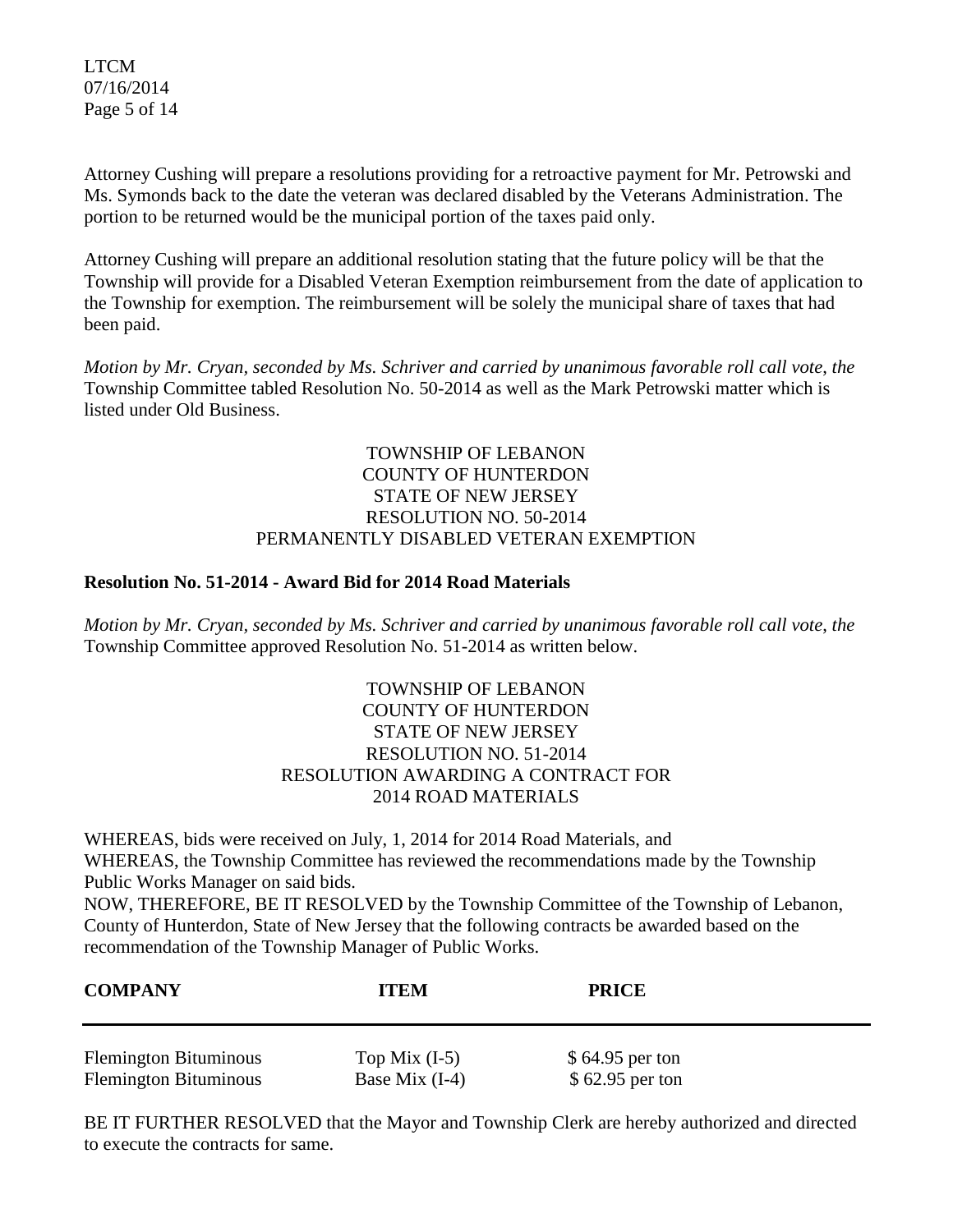LTCM 07/16/2014 Page 5 of 14

Attorney Cushing will prepare a resolutions providing for a retroactive payment for Mr. Petrowski and Ms. Symonds back to the date the veteran was declared disabled by the Veterans Administration. The portion to be returned would be the municipal portion of the taxes paid only.

Attorney Cushing will prepare an additional resolution stating that the future policy will be that the Township will provide for a Disabled Veteran Exemption reimbursement from the date of application to the Township for exemption. The reimbursement will be solely the municipal share of taxes that had been paid.

*Motion by Mr. Cryan, seconded by Ms. Schriver and carried by unanimous favorable roll call vote*, *the*  Township Committee tabled Resolution No. 50-2014 as well as the Mark Petrowski matter which is listed under Old Business.

# TOWNSHIP OF LEBANON COUNTY OF HUNTERDON STATE OF NEW JERSEY RESOLUTION NO. 50-2014 PERMANENTLY DISABLED VETERAN EXEMPTION

# **Resolution No. 51-2014 - Award Bid for 2014 Road Materials**

*Motion by Mr. Cryan, seconded by Ms. Schriver and carried by unanimous favorable roll call vote*, *the*  Township Committee approved Resolution No. 51-2014 as written below.

# TOWNSHIP OF LEBANON COUNTY OF HUNTERDON STATE OF NEW JERSEY RESOLUTION NO. 51-2014 RESOLUTION AWARDING A CONTRACT FOR 2014 ROAD MATERIALS

WHEREAS, bids were received on July, 1, 2014 for 2014 Road Materials, and WHEREAS, the Township Committee has reviewed the recommendations made by the Township Public Works Manager on said bids.

NOW, THEREFORE, BE IT RESOLVED by the Township Committee of the Township of Lebanon, County of Hunterdon, State of New Jersey that the following contracts be awarded based on the recommendation of the Township Manager of Public Works.

| <b>COMPANY</b>               | <b>ITEM</b>      | <b>PRICE</b>     |
|------------------------------|------------------|------------------|
| <b>Flemington Bituminous</b> | Top Mix $(I-5)$  | $$64.95$ per ton |
| <b>Flemington Bituminous</b> | Base Mix $(I-4)$ | $$62.95$ per ton |

BE IT FURTHER RESOLVED that the Mayor and Township Clerk are hereby authorized and directed to execute the contracts for same.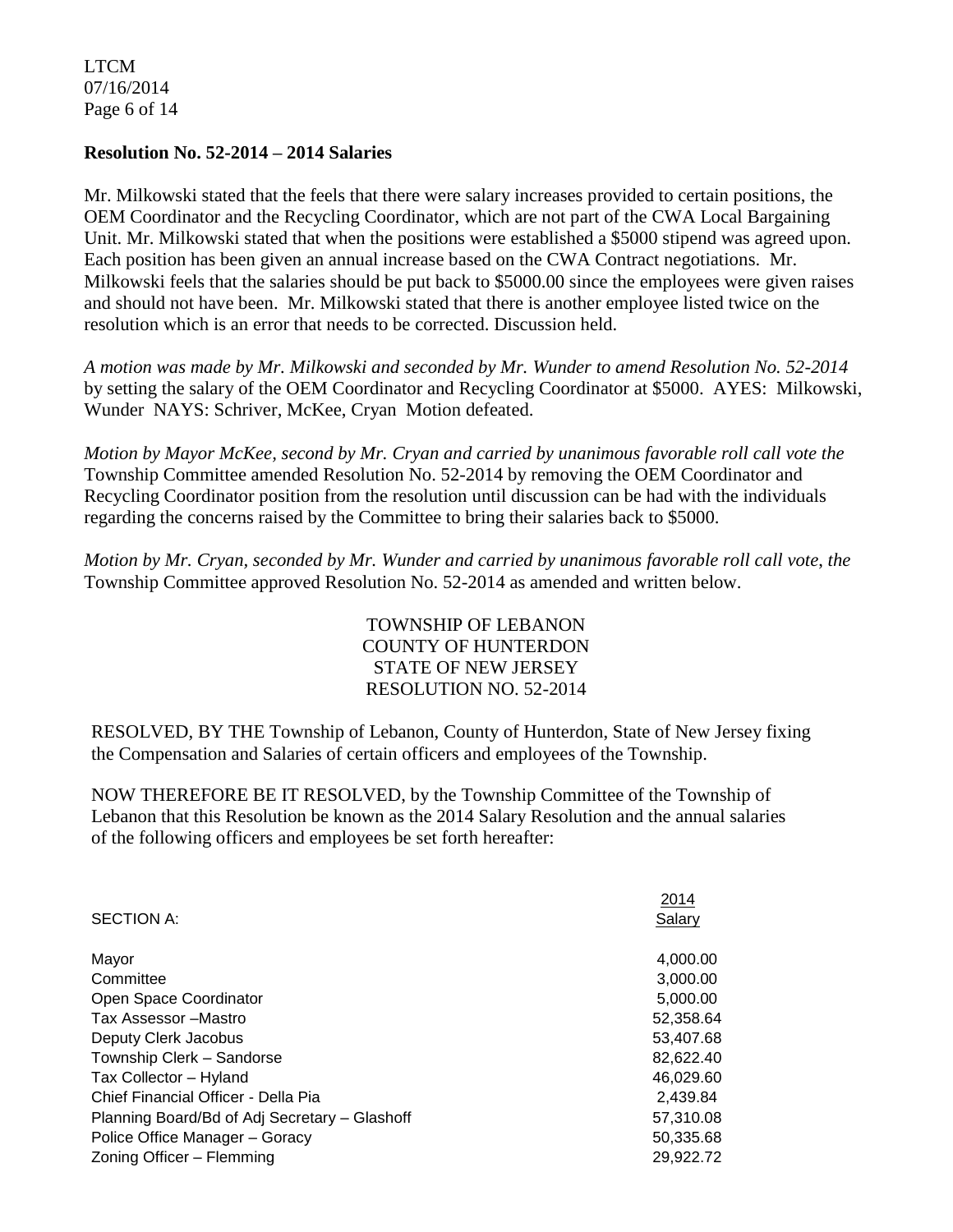LTCM 07/16/2014 Page 6 of 14

#### **Resolution No. 52-2014 – 2014 Salaries**

Mr. Milkowski stated that the feels that there were salary increases provided to certain positions, the OEM Coordinator and the Recycling Coordinator, which are not part of the CWA Local Bargaining Unit. Mr. Milkowski stated that when the positions were established a \$5000 stipend was agreed upon. Each position has been given an annual increase based on the CWA Contract negotiations. Mr. Milkowski feels that the salaries should be put back to \$5000.00 since the employees were given raises and should not have been. Mr. Milkowski stated that there is another employee listed twice on the resolution which is an error that needs to be corrected. Discussion held.

*A motion was made by Mr. Milkowski and seconded by Mr. Wunder to amend Resolution No. 52-2014* by setting the salary of the OEM Coordinator and Recycling Coordinator at \$5000. AYES: Milkowski, Wunder NAYS: Schriver, McKee, Cryan Motion defeated.

*Motion by Mayor McKee, second by Mr. Cryan and carried by unanimous favorable roll call vote the*  Township Committee amended Resolution No. 52-2014 by removing the OEM Coordinator and Recycling Coordinator position from the resolution until discussion can be had with the individuals regarding the concerns raised by the Committee to bring their salaries back to \$5000.

*Motion by Mr. Cryan, seconded by Mr. Wunder and carried by unanimous favorable roll call vote*, *the*  Township Committee approved Resolution No. 52-2014 as amended and written below.

> TOWNSHIP OF LEBANON COUNTY OF HUNTERDON STATE OF NEW JERSEY RESOLUTION NO. 52-2014

RESOLVED, BY THE Township of Lebanon, County of Hunterdon, State of New Jersey fixing the Compensation and Salaries of certain officers and employees of the Township.

NOW THEREFORE BE IT RESOLVED, by the Township Committee of the Township of Lebanon that this Resolution be known as the 2014 Salary Resolution and the annual salaries of the following officers and employees be set forth hereafter:

|                                               | 2014      |
|-----------------------------------------------|-----------|
| <b>SECTION A:</b>                             | Salary    |
|                                               |           |
| Mayor                                         | 4,000.00  |
| Committee                                     | 3,000.00  |
| Open Space Coordinator                        | 5,000.00  |
| Tax Assessor - Mastro                         | 52.358.64 |
| Deputy Clerk Jacobus                          | 53,407.68 |
| Township Clerk - Sandorse                     | 82,622.40 |
| Tax Collector - Hyland                        | 46.029.60 |
| Chief Financial Officer - Della Pia           | 2,439.84  |
| Planning Board/Bd of Adj Secretary - Glashoff | 57,310.08 |
| Police Office Manager - Goracy                | 50,335.68 |
| Zoning Officer - Flemming                     | 29,922.72 |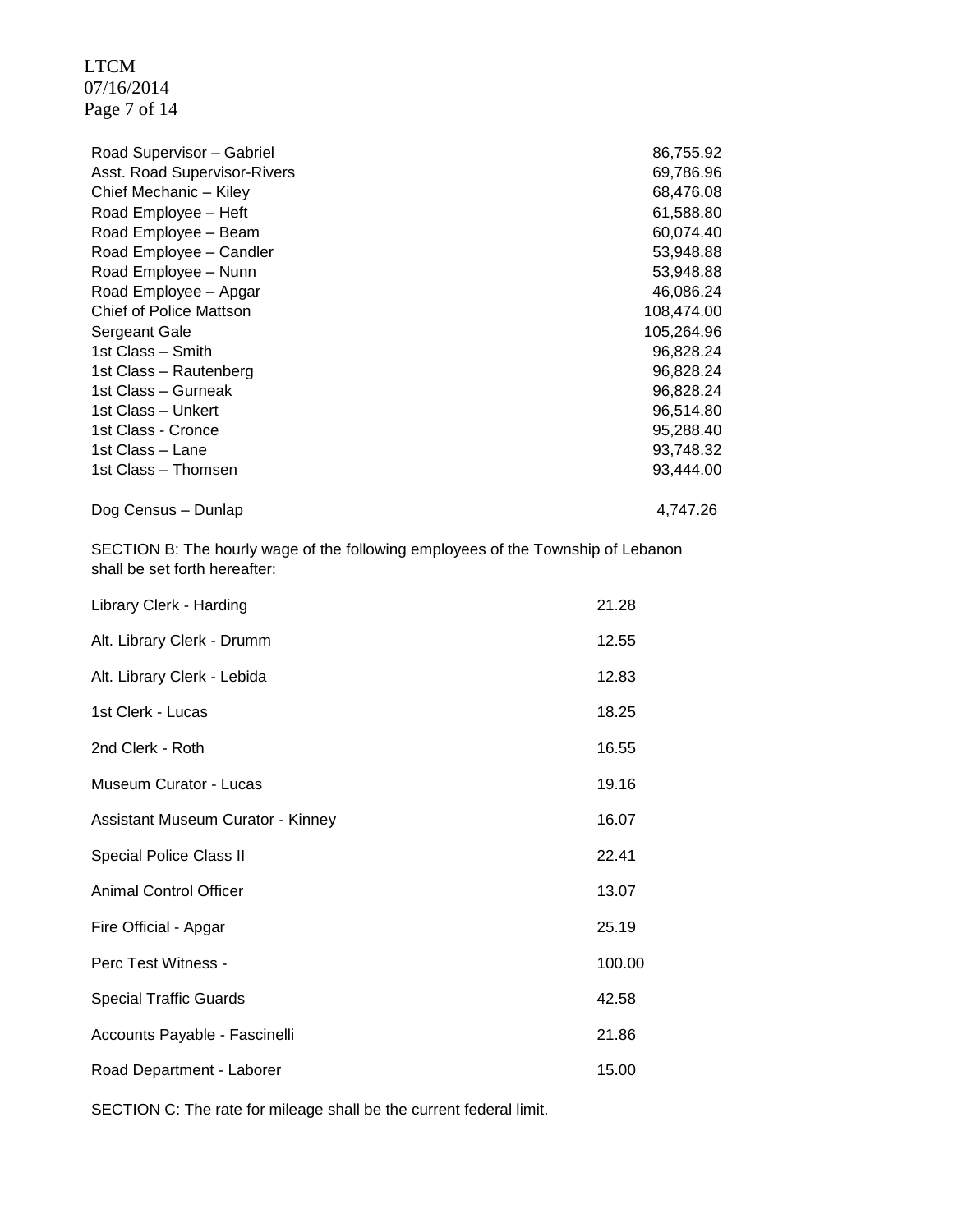LTCM 07/16/2014 Page 7 of 14

| Road Supervisor - Gabriel      | 86,755.92  |
|--------------------------------|------------|
| Asst. Road Supervisor-Rivers   | 69,786.96  |
| Chief Mechanic - Kiley         | 68,476.08  |
| Road Employee - Heft           | 61,588.80  |
| Road Employee - Beam           | 60,074.40  |
| Road Employee - Candler        | 53,948.88  |
| Road Employee - Nunn           | 53,948.88  |
| Road Employee - Apgar          | 46,086.24  |
| <b>Chief of Police Mattson</b> | 108,474.00 |
| Sergeant Gale                  | 105,264.96 |
| 1st Class - Smith              | 96,828.24  |
| 1st Class - Rautenberg         | 96,828.24  |
| 1st Class – Gurneak            | 96,828.24  |
| 1st Class - Unkert             | 96,514.80  |
| 1st Class - Cronce             | 95,288.40  |
| 1st Class - Lane               | 93,748.32  |
| 1st Class - Thomsen            | 93,444.00  |
| Dog Census – Dunlap            | 4,747.26   |

SECTION B: The hourly wage of the following employees of the Township of Lebanon shall be set forth hereafter:

| Library Clerk - Harding           | 21.28  |
|-----------------------------------|--------|
| Alt. Library Clerk - Drumm        | 12.55  |
| Alt. Library Clerk - Lebida       | 12.83  |
| 1st Clerk - Lucas                 | 18.25  |
| 2nd Clerk - Roth                  | 16.55  |
| Museum Curator - Lucas            | 19.16  |
| Assistant Museum Curator - Kinney | 16.07  |
| Special Police Class II           | 22.41  |
| <b>Animal Control Officer</b>     | 13.07  |
| Fire Official - Apgar             | 25.19  |
| Perc Test Witness -               | 100.00 |
| <b>Special Traffic Guards</b>     | 42.58  |
| Accounts Payable - Fascinelli     | 21.86  |
| Road Department - Laborer         | 15.00  |

SECTION C: The rate for mileage shall be the current federal limit.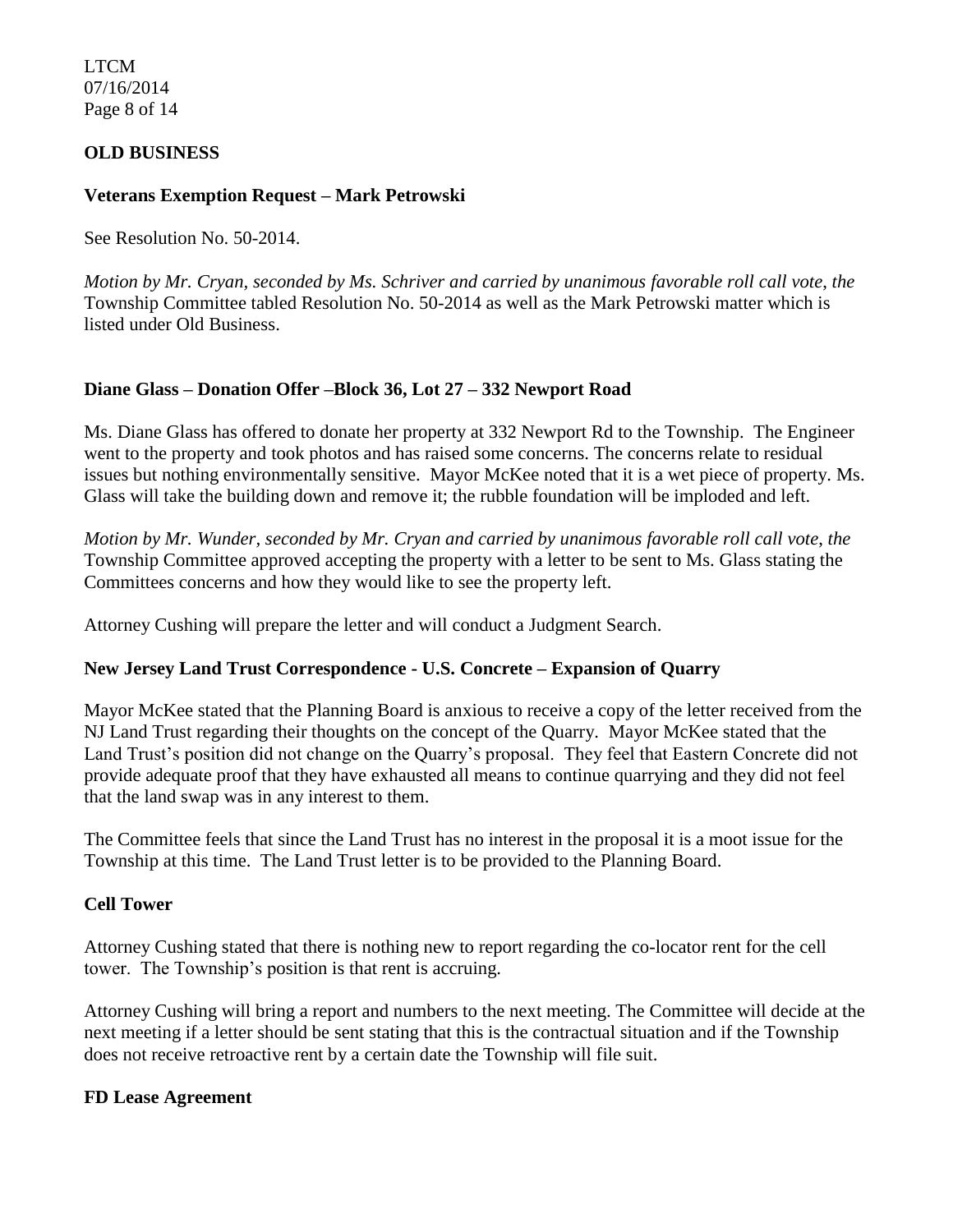LTCM 07/16/2014 Page 8 of 14

# **OLD BUSINESS**

# **Veterans Exemption Request – Mark Petrowski**

See Resolution No. 50-2014.

*Motion by Mr. Cryan, seconded by Ms. Schriver and carried by unanimous favorable roll call vote*, *the*  Township Committee tabled Resolution No. 50-2014 as well as the Mark Petrowski matter which is listed under Old Business.

# **Diane Glass – Donation Offer –Block 36, Lot 27 – 332 Newport Road**

Ms. Diane Glass has offered to donate her property at 332 Newport Rd to the Township. The Engineer went to the property and took photos and has raised some concerns. The concerns relate to residual issues but nothing environmentally sensitive. Mayor McKee noted that it is a wet piece of property. Ms. Glass will take the building down and remove it; the rubble foundation will be imploded and left.

*Motion by Mr. Wunder, seconded by Mr. Cryan and carried by unanimous favorable roll call vote*, *the*  Township Committee approved accepting the property with a letter to be sent to Ms. Glass stating the Committees concerns and how they would like to see the property left.

Attorney Cushing will prepare the letter and will conduct a Judgment Search.

#### **New Jersey Land Trust Correspondence - U.S. Concrete – Expansion of Quarry**

Mayor McKee stated that the Planning Board is anxious to receive a copy of the letter received from the NJ Land Trust regarding their thoughts on the concept of the Quarry. Mayor McKee stated that the Land Trust's position did not change on the Quarry's proposal. They feel that Eastern Concrete did not provide adequate proof that they have exhausted all means to continue quarrying and they did not feel that the land swap was in any interest to them.

The Committee feels that since the Land Trust has no interest in the proposal it is a moot issue for the Township at this time. The Land Trust letter is to be provided to the Planning Board.

#### **Cell Tower**

Attorney Cushing stated that there is nothing new to report regarding the co-locator rent for the cell tower. The Township's position is that rent is accruing.

Attorney Cushing will bring a report and numbers to the next meeting. The Committee will decide at the next meeting if a letter should be sent stating that this is the contractual situation and if the Township does not receive retroactive rent by a certain date the Township will file suit.

#### **FD Lease Agreement**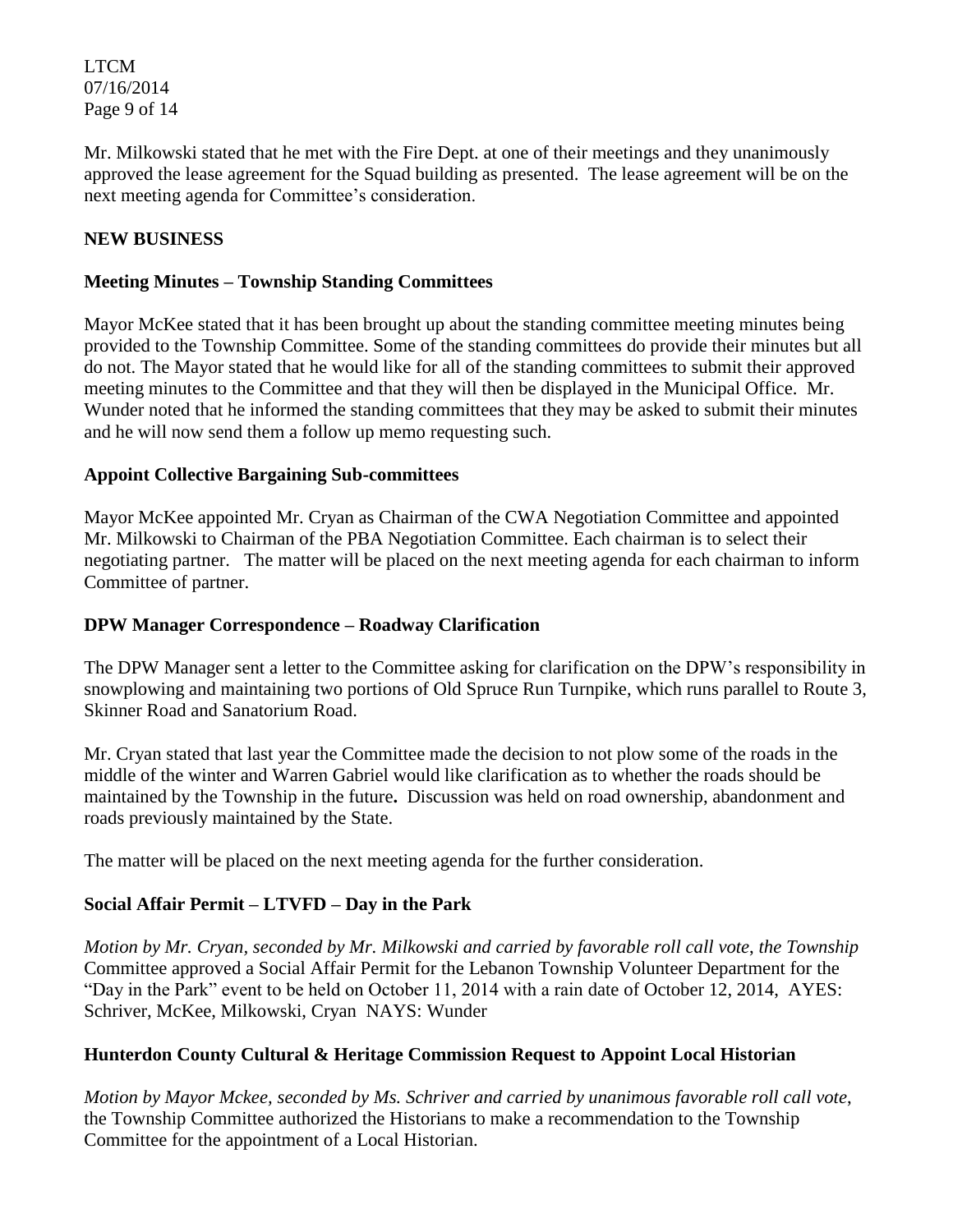LTCM 07/16/2014 Page 9 of 14

Mr. Milkowski stated that he met with the Fire Dept. at one of their meetings and they unanimously approved the lease agreement for the Squad building as presented. The lease agreement will be on the next meeting agenda for Committee's consideration.

# **NEW BUSINESS**

# **Meeting Minutes – Township Standing Committees**

Mayor McKee stated that it has been brought up about the standing committee meeting minutes being provided to the Township Committee. Some of the standing committees do provide their minutes but all do not. The Mayor stated that he would like for all of the standing committees to submit their approved meeting minutes to the Committee and that they will then be displayed in the Municipal Office. Mr. Wunder noted that he informed the standing committees that they may be asked to submit their minutes and he will now send them a follow up memo requesting such.

# **Appoint Collective Bargaining Sub-committees**

Mayor McKee appointed Mr. Cryan as Chairman of the CWA Negotiation Committee and appointed Mr. Milkowski to Chairman of the PBA Negotiation Committee. Each chairman is to select their negotiating partner. The matter will be placed on the next meeting agenda for each chairman to inform Committee of partner.

# **DPW Manager Correspondence – Roadway Clarification**

The DPW Manager sent a letter to the Committee asking for clarification on the DPW's responsibility in snowplowing and maintaining two portions of Old Spruce Run Turnpike, which runs parallel to Route 3, Skinner Road and Sanatorium Road.

Mr. Cryan stated that last year the Committee made the decision to not plow some of the roads in the middle of the winter and Warren Gabriel would like clarification as to whether the roads should be maintained by the Township in the future**.** Discussion was held on road ownership, abandonment and roads previously maintained by the State.

The matter will be placed on the next meeting agenda for the further consideration.

# **Social Affair Permit – LTVFD – Day in the Park**

*Motion by Mr. Cryan, seconded by Mr. Milkowski and carried by favorable roll call vote*, *the Township*  Committee approved a Social Affair Permit for the Lebanon Township Volunteer Department for the "Day in the Park" event to be held on October 11, 2014 with a rain date of October 12, 2014, AYES: Schriver, McKee, Milkowski, Cryan NAYS: Wunder

# **Hunterdon County Cultural & Heritage Commission Request to Appoint Local Historian**

*Motion by Mayor Mckee, seconded by Ms. Schriver and carried by unanimous favorable roll call vote*, the Township Committee authorized the Historians to make a recommendation to the Township Committee for the appointment of a Local Historian.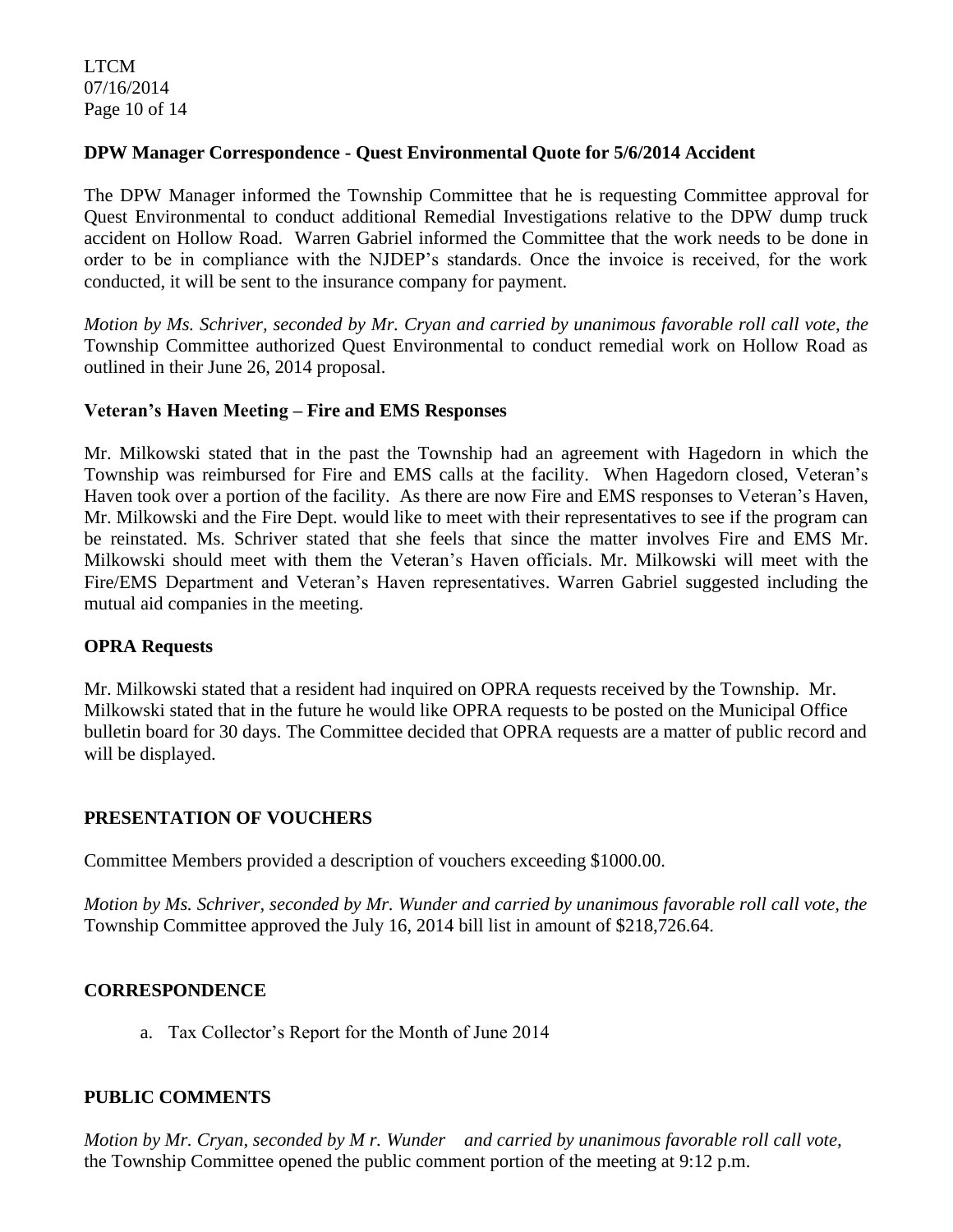LTCM 07/16/2014 Page 10 of 14

# **DPW Manager Correspondence - Quest Environmental Quote for 5/6/2014 Accident**

The DPW Manager informed the Township Committee that he is requesting Committee approval for Quest Environmental to conduct additional Remedial Investigations relative to the DPW dump truck accident on Hollow Road. Warren Gabriel informed the Committee that the work needs to be done in order to be in compliance with the NJDEP's standards. Once the invoice is received, for the work conducted, it will be sent to the insurance company for payment.

*Motion by Ms. Schriver, seconded by Mr. Cryan and carried by unanimous favorable roll call vote*, *the*  Township Committee authorized Quest Environmental to conduct remedial work on Hollow Road as outlined in their June 26, 2014 proposal.

#### **Veteran's Haven Meeting – Fire and EMS Responses**

Mr. Milkowski stated that in the past the Township had an agreement with Hagedorn in which the Township was reimbursed for Fire and EMS calls at the facility. When Hagedorn closed, Veteran's Haven took over a portion of the facility. As there are now Fire and EMS responses to Veteran's Haven, Mr. Milkowski and the Fire Dept. would like to meet with their representatives to see if the program can be reinstated. Ms. Schriver stated that she feels that since the matter involves Fire and EMS Mr. Milkowski should meet with them the Veteran's Haven officials. Mr. Milkowski will meet with the Fire/EMS Department and Veteran's Haven representatives. Warren Gabriel suggested including the mutual aid companies in the meeting.

#### **OPRA Requests**

Mr. Milkowski stated that a resident had inquired on OPRA requests received by the Township. Mr. Milkowski stated that in the future he would like OPRA requests to be posted on the Municipal Office bulletin board for 30 days. The Committee decided that OPRA requests are a matter of public record and will be displayed.

#### **PRESENTATION OF VOUCHERS**

Committee Members provided a description of vouchers exceeding \$1000.00.

*Motion by Ms. Schriver, seconded by Mr. Wunder and carried by unanimous favorable roll call vote, the* Township Committee approved the July 16, 2014 bill list in amount of \$218,726.64.

#### **CORRESPONDENCE**

a. Tax Collector's Report for the Month of June 2014

#### **PUBLIC COMMENTS**

*Motion by Mr. Cryan, seconded by M r. Wunder and carried by unanimous favorable roll call vote,* the Township Committee opened the public comment portion of the meeting at 9:12 p.m.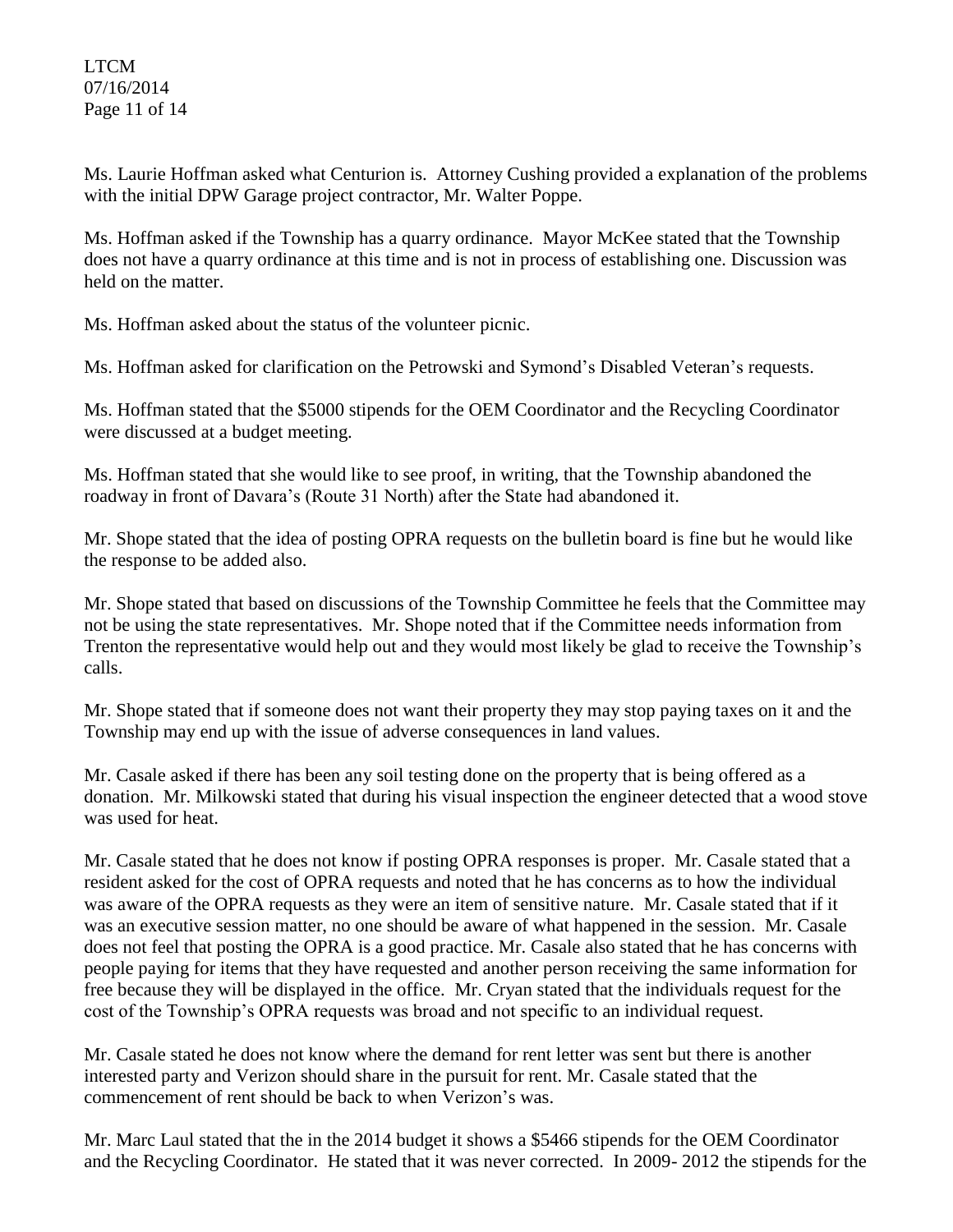# LTCM 07/16/2014 Page 11 of 14

Ms. Laurie Hoffman asked what Centurion is. Attorney Cushing provided a explanation of the problems with the initial DPW Garage project contractor, Mr. Walter Poppe.

Ms. Hoffman asked if the Township has a quarry ordinance. Mayor McKee stated that the Township does not have a quarry ordinance at this time and is not in process of establishing one. Discussion was held on the matter.

Ms. Hoffman asked about the status of the volunteer picnic.

Ms. Hoffman asked for clarification on the Petrowski and Symond's Disabled Veteran's requests.

Ms. Hoffman stated that the \$5000 stipends for the OEM Coordinator and the Recycling Coordinator were discussed at a budget meeting.

Ms. Hoffman stated that she would like to see proof, in writing, that the Township abandoned the roadway in front of Davara's (Route 31 North) after the State had abandoned it.

Mr. Shope stated that the idea of posting OPRA requests on the bulletin board is fine but he would like the response to be added also.

Mr. Shope stated that based on discussions of the Township Committee he feels that the Committee may not be using the state representatives. Mr. Shope noted that if the Committee needs information from Trenton the representative would help out and they would most likely be glad to receive the Township's calls.

Mr. Shope stated that if someone does not want their property they may stop paying taxes on it and the Township may end up with the issue of adverse consequences in land values.

Mr. Casale asked if there has been any soil testing done on the property that is being offered as a donation. Mr. Milkowski stated that during his visual inspection the engineer detected that a wood stove was used for heat.

Mr. Casale stated that he does not know if posting OPRA responses is proper. Mr. Casale stated that a resident asked for the cost of OPRA requests and noted that he has concerns as to how the individual was aware of the OPRA requests as they were an item of sensitive nature. Mr. Casale stated that if it was an executive session matter, no one should be aware of what happened in the session. Mr. Casale does not feel that posting the OPRA is a good practice. Mr. Casale also stated that he has concerns with people paying for items that they have requested and another person receiving the same information for free because they will be displayed in the office. Mr. Cryan stated that the individuals request for the cost of the Township's OPRA requests was broad and not specific to an individual request.

Mr. Casale stated he does not know where the demand for rent letter was sent but there is another interested party and Verizon should share in the pursuit for rent. Mr. Casale stated that the commencement of rent should be back to when Verizon's was.

Mr. Marc Laul stated that the in the 2014 budget it shows a \$5466 stipends for the OEM Coordinator and the Recycling Coordinator. He stated that it was never corrected. In 2009- 2012 the stipends for the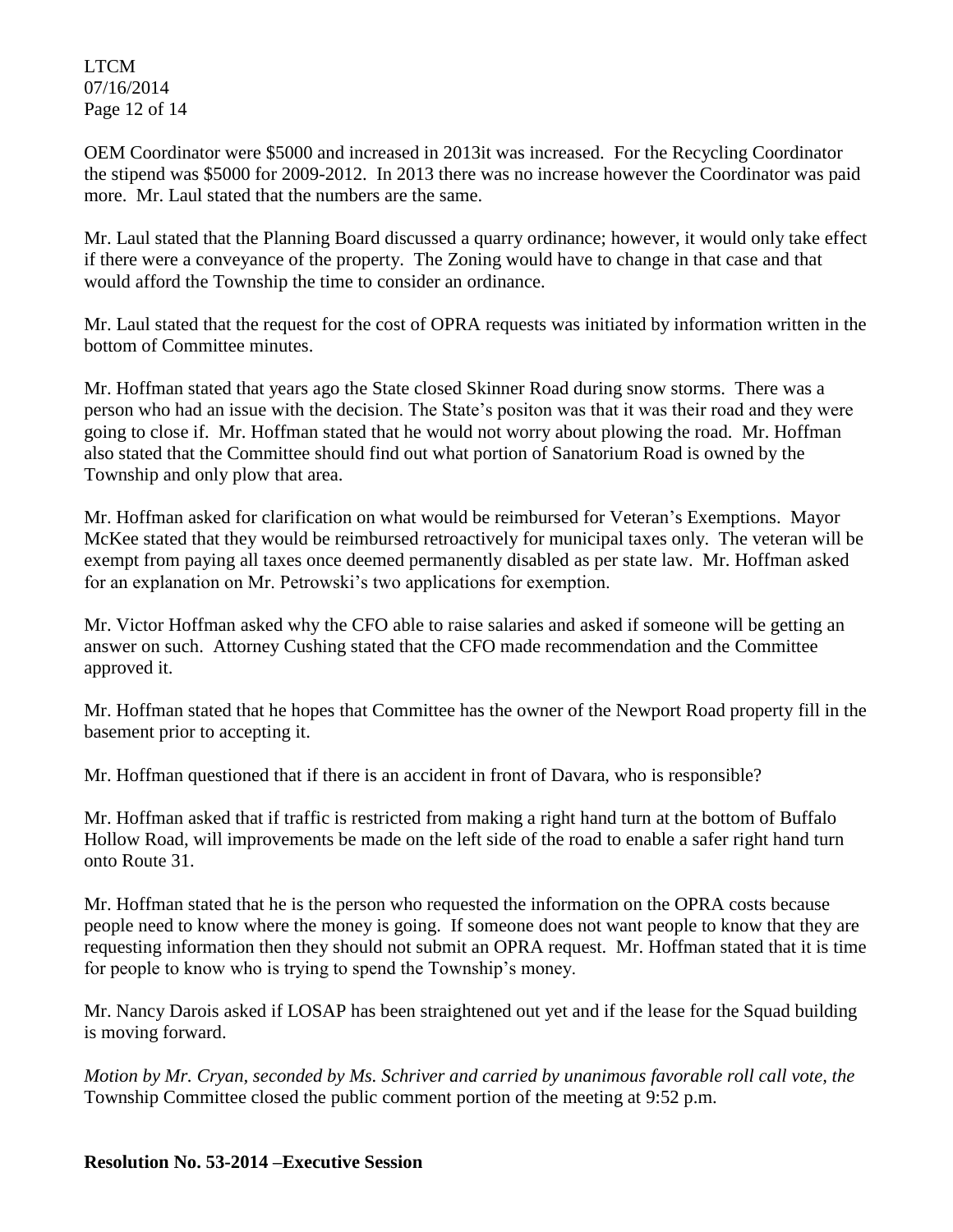LTCM 07/16/2014 Page 12 of 14

OEM Coordinator were \$5000 and increased in 2013it was increased. For the Recycling Coordinator the stipend was \$5000 for 2009-2012. In 2013 there was no increase however the Coordinator was paid more. Mr. Laul stated that the numbers are the same.

Mr. Laul stated that the Planning Board discussed a quarry ordinance; however, it would only take effect if there were a conveyance of the property. The Zoning would have to change in that case and that would afford the Township the time to consider an ordinance.

Mr. Laul stated that the request for the cost of OPRA requests was initiated by information written in the bottom of Committee minutes.

Mr. Hoffman stated that years ago the State closed Skinner Road during snow storms. There was a person who had an issue with the decision. The State's positon was that it was their road and they were going to close if. Mr. Hoffman stated that he would not worry about plowing the road. Mr. Hoffman also stated that the Committee should find out what portion of Sanatorium Road is owned by the Township and only plow that area.

Mr. Hoffman asked for clarification on what would be reimbursed for Veteran's Exemptions. Mayor McKee stated that they would be reimbursed retroactively for municipal taxes only. The veteran will be exempt from paying all taxes once deemed permanently disabled as per state law. Mr. Hoffman asked for an explanation on Mr. Petrowski's two applications for exemption.

Mr. Victor Hoffman asked why the CFO able to raise salaries and asked if someone will be getting an answer on such. Attorney Cushing stated that the CFO made recommendation and the Committee approved it.

Mr. Hoffman stated that he hopes that Committee has the owner of the Newport Road property fill in the basement prior to accepting it.

Mr. Hoffman questioned that if there is an accident in front of Davara, who is responsible?

Mr. Hoffman asked that if traffic is restricted from making a right hand turn at the bottom of Buffalo Hollow Road, will improvements be made on the left side of the road to enable a safer right hand turn onto Route 31.

Mr. Hoffman stated that he is the person who requested the information on the OPRA costs because people need to know where the money is going. If someone does not want people to know that they are requesting information then they should not submit an OPRA request. Mr. Hoffman stated that it is time for people to know who is trying to spend the Township's money.

Mr. Nancy Darois asked if LOSAP has been straightened out yet and if the lease for the Squad building is moving forward.

*Motion by Mr. Cryan, seconded by Ms. Schriver and carried by unanimous favorable roll call vote, the* Township Committee closed the public comment portion of the meeting at 9:52 p.m.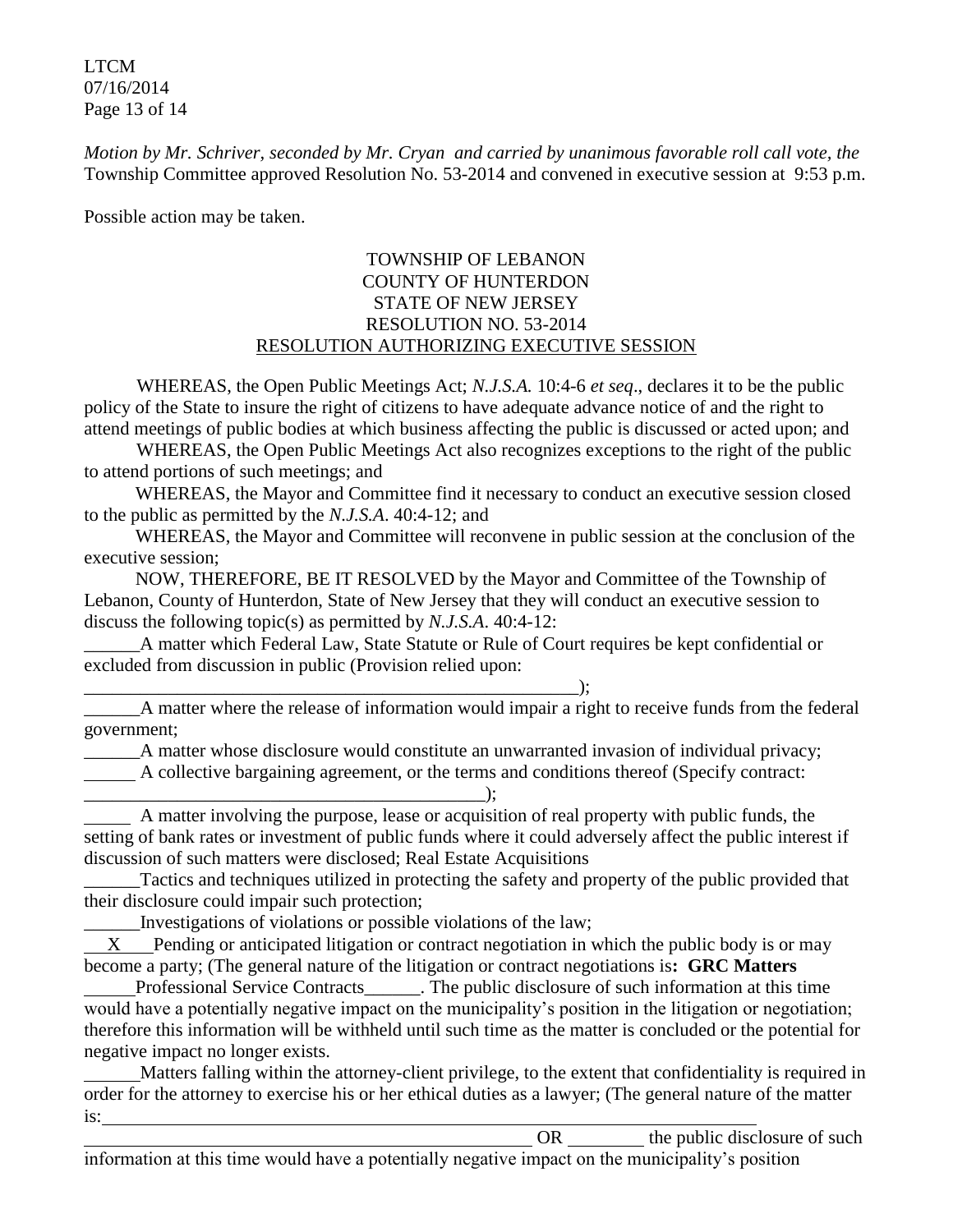LTCM 07/16/2014 Page 13 of 14

*Motion by Mr. Schriver, seconded by Mr. Cryan and carried by unanimous favorable roll call vote, the* Township Committee approved Resolution No. 53-2014 and convened in executive session at 9:53 p.m.

Possible action may be taken.

# TOWNSHIP OF LEBANON COUNTY OF HUNTERDON STATE OF NEW JERSEY RESOLUTION NO. 53-2014 RESOLUTION AUTHORIZING EXECUTIVE SESSION

WHEREAS, the Open Public Meetings Act; *N.J.S.A.* 10:4-6 *et seq*., declares it to be the public policy of the State to insure the right of citizens to have adequate advance notice of and the right to attend meetings of public bodies at which business affecting the public is discussed or acted upon; and

WHEREAS, the Open Public Meetings Act also recognizes exceptions to the right of the public to attend portions of such meetings; and

 WHEREAS, the Mayor and Committee find it necessary to conduct an executive session closed to the public as permitted by the *N.J.S.A*. 40:4-12; and

 WHEREAS, the Mayor and Committee will reconvene in public session at the conclusion of the executive session;

 NOW, THEREFORE, BE IT RESOLVED by the Mayor and Committee of the Township of Lebanon, County of Hunterdon, State of New Jersey that they will conduct an executive session to discuss the following topic(s) as permitted by *N.J.S.A*. 40:4-12:

A matter which Federal Law, State Statute or Rule of Court requires be kept confidential or excluded from discussion in public (Provision relied upon:

\_\_\_\_\_\_\_\_\_\_\_\_\_\_\_\_\_\_\_\_\_\_\_\_\_\_\_\_\_\_\_\_\_\_\_\_\_\_\_\_\_\_\_\_\_\_\_\_\_\_\_\_\_);

\_\_\_\_\_\_A matter where the release of information would impair a right to receive funds from the federal government;

\_\_\_\_\_\_A matter whose disclosure would constitute an unwarranted invasion of individual privacy;

A collective bargaining agreement, or the terms and conditions thereof (Specify contract:

\_\_\_\_\_\_\_\_\_\_\_\_\_\_\_\_\_\_\_\_\_\_\_\_\_\_\_\_\_\_\_\_\_\_\_\_\_\_\_\_\_\_\_);

 A matter involving the purpose, lease or acquisition of real property with public funds, the setting of bank rates or investment of public funds where it could adversely affect the public interest if discussion of such matters were disclosed; Real Estate Acquisitions

\_\_\_\_\_\_Tactics and techniques utilized in protecting the safety and property of the public provided that their disclosure could impair such protection;

\_\_\_\_\_\_Investigations of violations or possible violations of the law;

 X Pending or anticipated litigation or contract negotiation in which the public body is or may become a party; (The general nature of the litigation or contract negotiations is**: GRC Matters** 

Professional Service Contracts\_\_\_\_\_\_. The public disclosure of such information at this time would have a potentially negative impact on the municipality's position in the litigation or negotiation; therefore this information will be withheld until such time as the matter is concluded or the potential for negative impact no longer exists.

 Matters falling within the attorney-client privilege, to the extent that confidentiality is required in order for the attorney to exercise his or her ethical duties as a lawyer; (The general nature of the matter is:

OR the public disclosure of such  $\theta$ information at this time would have a potentially negative impact on the municipality's position